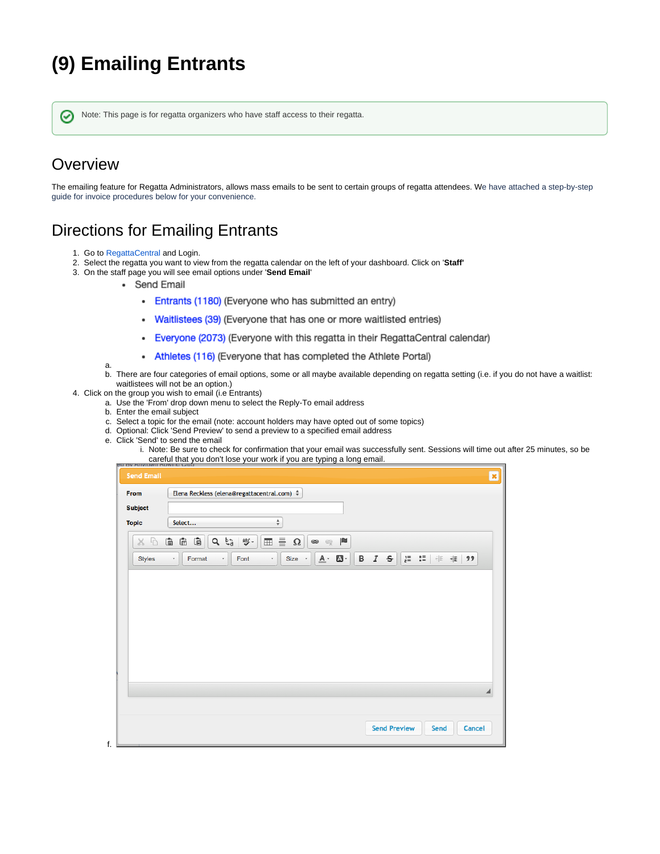## **(9) Emailing Entrants**

Note: This page is for regatta organizers who have staff access to their regatta.

## **Overview**

∽

The emailing feature for Regatta Administrators, allows mass emails to be sent to certain groups of regatta attendees. We have attached a step-by-step guide for invoice procedures below for your convenience.

## Directions for Emailing Entrants

1. Go to [RegattaCentral](https://www.regattacentral.com/) and Login.

a.

en r

∽

- 2. Select the regatta you want to view from the regatta calendar on the left of your dashboard. Click on '**Staff'**
- 3. On the staff page you will see email options under '**Send Email**'
	- Send Email
		- Entrants (1180) (Everyone who has submitted an entry)
		- Waitlistees (39) (Everyone that has one or more waitlisted entries)
		- Everyone (2073) (Everyone with this regatta in their RegattaCentral calendar)  $\bullet$
		- Athletes (116) (Everyone that has completed the Athlete Portal)
	- b. There are four categories of email options, some or all maybe available depending on regatta setting (i.e. if you do not have a waitlist: waitlistees will not be an option.)
- 4. Click on the group you wish to email (i.e Entrants)
	- a. Use the 'From' drop down menu to select the Reply-To email address
		- b. Enter the email subject
		- c. Select a topic for the email (note: account holders may have opted out of some topics)
		- d. Optional: Click 'Send Preview' to send a preview to a specified email address
		- e. Click 'Send' to send the email
			- i. Note: Be sure to check for confirmation that your email was successfully sent. Sessions will time out after 25 minutes, so be careful that you don't lose your work if you are typing a long email.

| From<br><b>Subject</b> | Elena Reckless (elena@regattacentral.com) # |                           |       |                      |                  |                     |             |  |                                 |  |
|------------------------|---------------------------------------------|---------------------------|-------|----------------------|------------------|---------------------|-------------|--|---------------------------------|--|
| <b>Topic</b>           | Select                                      |                           |       | ÷                    |                  |                     |             |  |                                 |  |
| b<br>$\chi$            | $\bar{\Xi}$<br>$\bar{\Xi}$<br>Ġ             | $\sigma$ $\tilde{\rho}^3$ | ABC - | 亖<br>$\boxplus$<br>Ω | $\circledast$    | P<br>$\mathfrak{S}$ |             |  |                                 |  |
| <b>Styles</b>          | Format<br>$\star$                           | $^\star$                  | Font  | Size -<br>$\star$    | $\overline{A}$ . | $\blacksquare$ .    | $B$ $I$ $S$ |  | }= $\frac{1}{6}$ =   非 + 据   99 |  |
|                        |                                             |                           |       |                      |                  |                     |             |  |                                 |  |
|                        |                                             |                           |       |                      |                  |                     |             |  |                                 |  |
|                        |                                             |                           |       |                      |                  |                     |             |  |                                 |  |
|                        |                                             |                           |       |                      |                  |                     |             |  |                                 |  |
|                        |                                             |                           |       |                      |                  |                     |             |  |                                 |  |
|                        |                                             |                           |       |                      |                  |                     |             |  |                                 |  |
|                        |                                             |                           |       |                      |                  |                     |             |  |                                 |  |
|                        |                                             |                           |       |                      |                  |                     |             |  |                                 |  |
|                        |                                             |                           |       |                      |                  |                     |             |  |                                 |  |
|                        |                                             |                           |       |                      |                  |                     |             |  |                                 |  |
|                        |                                             |                           |       |                      |                  |                     |             |  |                                 |  |
|                        |                                             |                           |       |                      |                  |                     |             |  |                                 |  |